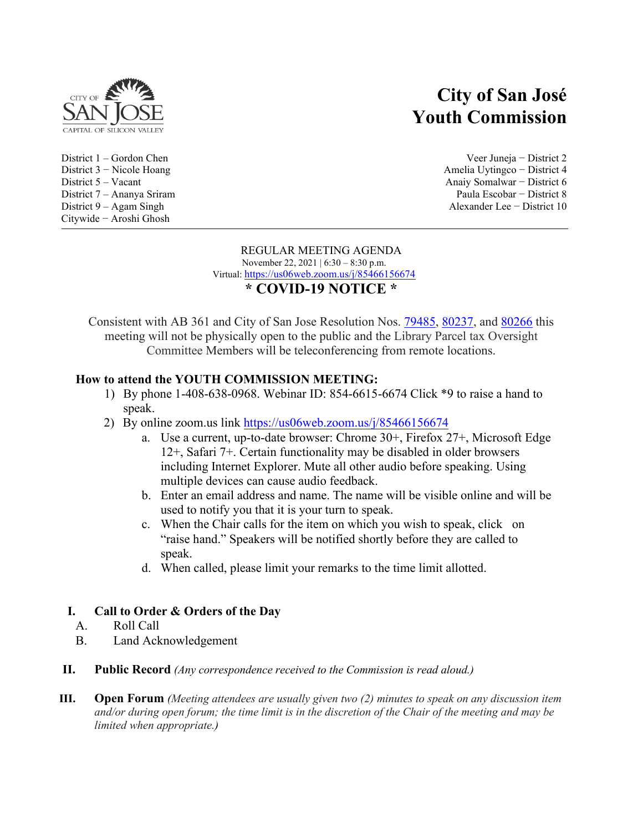

District  $9 - Agam$  Singh Citywide − Aroshi Ghosh

# **City of San José Youth Commission**

District 1 – Gordon Chen Veer Juneja − District 2 District 3 − Nicole Hoang Amelia Uytingco − District 4 District 5 – Vacant Anaiy Somalwar − District 6 District 7 – Ananya Sriram Paula Escobar − District 8

#### REGULAR MEETING AGENDA November 22, 2021 | 6:30 – 8:30 p.m. Virtual:<https://us06web.zoom.us/j/85466156674> **\* COVID-19 NOTICE \***

Consistent with AB 361 and City of San Jose Resolution Nos. [79485](https://records.sanjoseca.gov/Resolutions/RES79485.pdf), [80237](https://records.sanjoseca.gov/Resolutions/RES80237.pdf), and [80266](https://records.sanjoseca.gov/Resolutions/RES80266.pdf) this meeting will not be physically open to the public and the Library Parcel tax Oversight Committee Members will be teleconferencing from remote locations.

## **How to attend the YOUTH COMMISSION MEETING:**

- 1) By phone 1-408-638-0968. Webinar ID: 854-6615-6674 Click \*9 to raise a hand to speak.
- 2) By online zoom.us link<https://us06web.zoom.us/j/85466156674>
	- a. Use a current, up-to-date browser: Chrome 30+, Firefox 27+, Microsoft Edge 12+, Safari 7+. Certain functionality may be disabled in older browsers including Internet Explorer. Mute all other audio before speaking. Using multiple devices can cause audio feedback.
	- b. Enter an email address and name. The name will be visible online and will be used to notify you that it is your turn to speak.
	- c. When the Chair calls for the item on which you wish to speak, click on "raise hand." Speakers will be notified shortly before they are called to speak.
	- d. When called, please limit your remarks to the time limit allotted.

### **I. Call to Order & Orders of the Day**

- A. Roll Call
- B. Land Acknowledgement
- **II. Public Record** *(Any correspondence received to the Commission is read aloud.)*
- **III. Open Forum** *(Meeting attendees are usually given two (2) minutes to speak on any discussion item and/or during open forum; the time limit is in the discretion of the Chair of the meeting and may be limited when appropriate.)*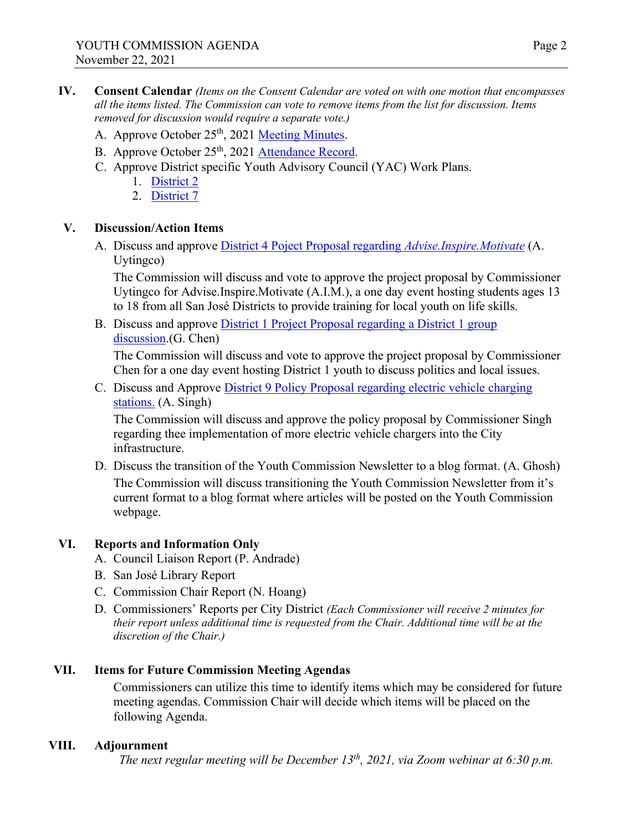- A. Approve October 25<sup>th</sup>, 2021 [Meeting M](https://www.sjpl.org/sites/default/files/2021-11/YC%2010.25.2021%20Regular%20Minutes.pdf)inutes.
- B. Approve October 25<sup>th</sup>, 2021 [Attendance Record](https://www.sjpl.org/sites/default/files/2021-11/Attendance%20Record%20for%20Approval%20at%2011.22.2021%20Youth%20Commission%20Reg%20Mtg.pdf).
- C. Approve District specific Youth Advisory Council (YAC) Work Plans.
	- 1. [District](https://www.sjpl.org/sites/default/files/2021-11/D2%20Workplan.pdf) 2
	- 2. [District 7](https://www.sjpl.org/sites/default/files/2021-11/San%20Jose%20d7%20workplan.pdf)

### **V. Discussion/Action Items**

A. Discuss and approve District 4 Poject Proposal regarding *[Advise.Inspire.Motivate](https://www.sjpl.org/sites/default/files/2021-11/D4%20AIM%202022%20Project%20Proposal.pdf)* (A. Uytingco)

The Commission will discuss and vote to approve the project proposal by Commissioner Uytingco for Advise.Inspire.Motivate (A.I.M.), a one day event hosting students ages 13 to 18 from all San José Districts to provide training for local youth on life skills.

B. Discuss and approve [District 1 Project Proposal regarding](https://www.sjpl.org/sites/default/files/2021-11/Proj%20Proposal%20Nov%202021.pdf) a District 1 group [discussion](https://www.sjpl.org/sites/default/files/2021-11/Proj%20Proposal%20Nov%202021.pdf).(G. Chen)

The Commission will discuss and vote to approve the project proposal by Commissioner Chen for a one day event hosting District 1 youth to discuss politics and local issues.

C. Discuss and Approve [District 9 Policy Proposal regarding electric vehicle charging](mailto:Youth%20Commission%203%20%3cYouthCom3@sanjoseca.gov%3e;%20Youth%20Commission%208%20%3cYouthCom8@sanjoseca.gov%3e)  [stations.](mailto:Youth%20Commission%203%20%3cYouthCom3@sanjoseca.gov%3e;%20Youth%20Commission%208%20%3cYouthCom8@sanjoseca.gov%3e) (A. Singh)

The Commission will discuss and approve the policy proposal by Commissioner Singh regarding thee implementation of more electric vehicle chargers into the City infrastructure.

D. Discuss the transition of the Youth Commission Newsletter to a blog format. (A. Ghosh) The Commission will discuss transitioning the Youth Commission Newsletter from it's current format to a blog format where articles will be posted on the Youth Commission webpage.

### **VI. Reports and Information Only**

- A. Council Liaison Report (P. Andrade)
- B. San José Library Report
- C. Commission Chair Report (N. Hoang)
- D. Commissioners' Reports per City District *(Each Commissioner will receive 2 minutes for their report unless additional time is requested from the Chair. Additional time will be at the discretion of the Chair.)*

## **VII. Items for Future Commission Meeting Agendas**

Commissioners can utilize this time to identify items which may be considered for future meeting agendas. Commission Chair will decide which items will be placed on the following Agenda.

#### **VIII. Adjournment**

*The next regular meeting will be December 13th, 2021, via Zoom webinar at 6:30 p.m.*